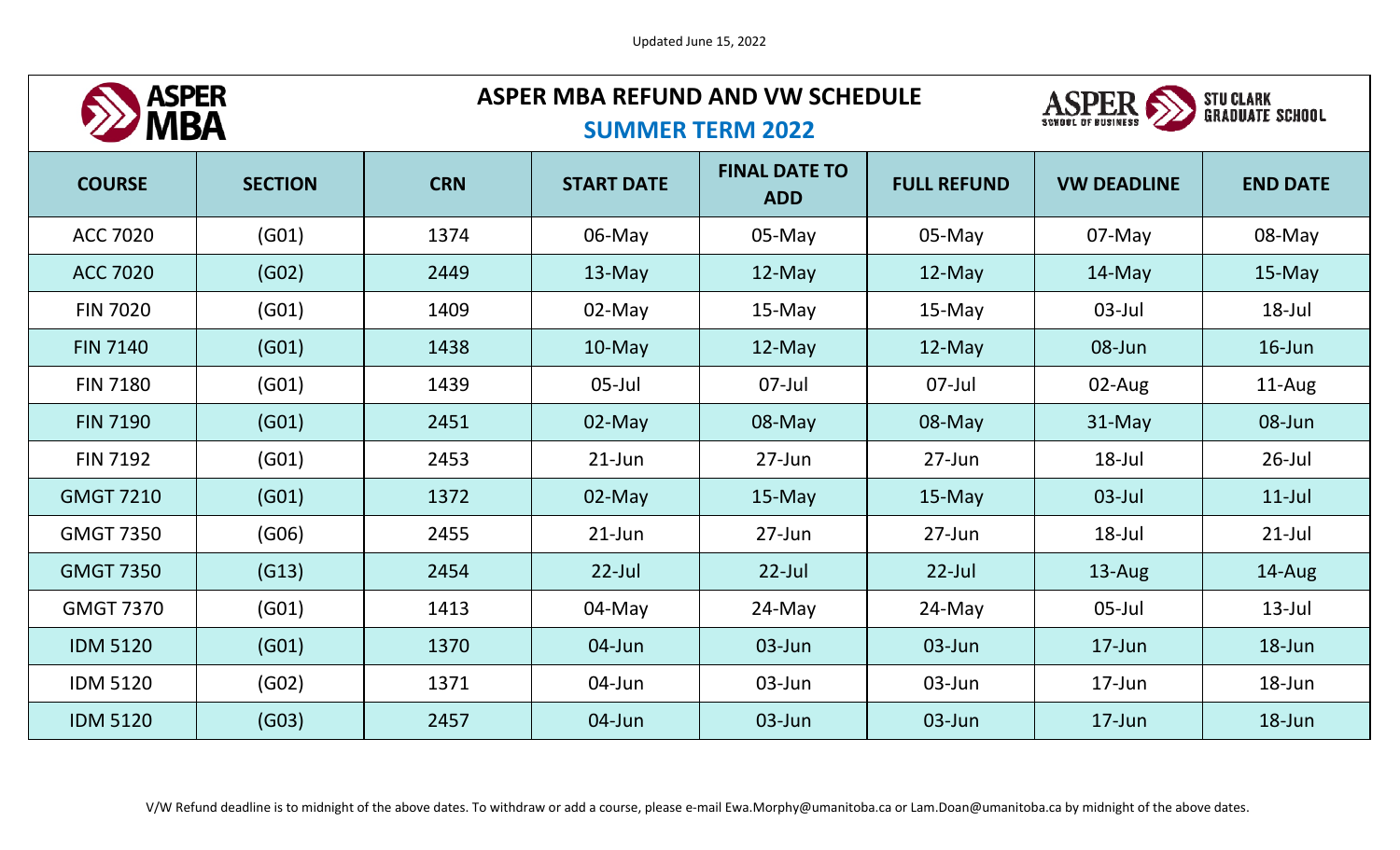Updated June 15, 2022



## **ASPER MBA REFUND AND VW SCHEDULE**



## **SUMMER TERM 2022**

| <b>COURSE</b>    | <b>SECTION</b> | <b>CRN</b> | <b>START DATE</b> | <b>FINAL DATE TO</b><br><b>ADD</b> | <b>FULL REFUND</b> | <b>VW DEADLINE</b> | <b>END DATE</b> |
|------------------|----------------|------------|-------------------|------------------------------------|--------------------|--------------------|-----------------|
| <b>ACC 7020</b>  | (G01)          | 1374       | 06-May            | 05-May                             | 05-May             | 07-May             | 08-May          |
| <b>ACC 7020</b>  | (GO2)          | 2449       | $13$ -May         | 12-May                             | 12-May             | $14$ -May          | 15-May          |
| <b>FIN 7020</b>  | (G01)          | 1409       | 02-May            | $15$ -May                          | $15$ -May          | $03$ -Jul          | 18-Jul          |
| <b>FIN 7140</b>  | (G01)          | 1438       | $10$ -May         | $12$ -May                          | $12$ -May          | 08-Jun             | $16$ -Jun       |
| <b>FIN 7180</b>  | (G01)          | 1439       | 05-Jul            | 07-Jul                             | $07$ -Jul          | 02-Aug             | 11-Aug          |
| <b>FIN 7190</b>  | (G01)          | 2451       | 02-May            | 08-May                             | 08-May             | 31-May             | 08-Jun          |
| <b>FIN 7192</b>  | (G01)          | 2453       | $21$ -Jun         | 27-Jun                             | 27-Jun             | 18-Jul             | $26$ -Jul       |
| <b>GMGT 7210</b> | (G01)          | 1372       | 02-May            | $15-May$                           | $15$ -May          | $03$ -Jul          | $11$ -Jul       |
| <b>GMGT 7350</b> | (G06)          | 2455       | $21$ -Jun         | $27 - Jun$                         | $27 - Jun$         | 18-Jul             | $21$ -Jul       |
| <b>GMGT 7350</b> | (G13)          | 2454       | $22$ -Jul         | $22$ -Jul                          | $22$ -Jul          | 13-Aug             | 14-Aug          |
| <b>GMGT 7370</b> | (G01)          | 1413       | 04-May            | $24$ -May                          | 24-May             | $05$ -Jul          | $13$ -Jul       |
| <b>IDM 5120</b>  | (G01)          | 1370       | 04-Jun            | 03-Jun                             | 03-Jun             | $17 - Jun$         | 18-Jun          |
| <b>IDM 5120</b>  | (GO2)          | 1371       | 04-Jun            | 03-Jun                             | 03-Jun             | $17$ -Jun          | 18-Jun          |
| <b>IDM 5120</b>  | (GO3)          | 2457       | 04-Jun            | 03-Jun                             | 03-Jun             | $17 - Jun$         | 18-Jun          |